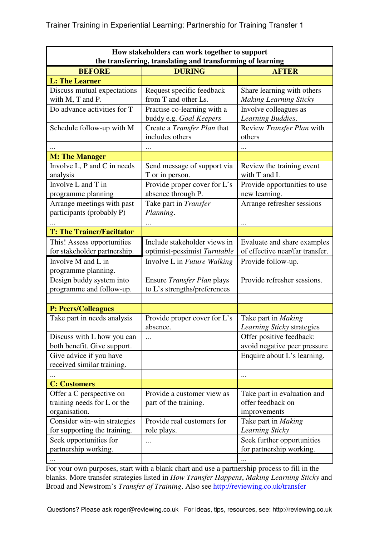| How stakeholders can work together to support              |                              |                                 |
|------------------------------------------------------------|------------------------------|---------------------------------|
| the transferring, translating and transforming of learning |                              |                                 |
| <b>BEFORE</b>                                              | <b>DURING</b>                | <b>AFTER</b>                    |
| <b>L: The Learner</b>                                      |                              |                                 |
| Discuss mutual expectations                                | Request specific feedback    | Share learning with others      |
| with M, T and P.                                           | from T and other Ls.         | <b>Making Learning Sticky</b>   |
| Do advance activities for T                                | Practise co-learning with a  | Involve colleagues as           |
|                                                            | buddy e.g. Goal Keepers      | Learning Buddies.               |
| Schedule follow-up with M                                  | Create a Transfer Plan that  | Review Transfer Plan with       |
|                                                            | includes others              | others                          |
|                                                            |                              |                                 |
| <b>M: The Manager</b>                                      |                              |                                 |
| Involve L, P and C in needs                                | Send message of support via  | Review the training event       |
| analysis                                                   | T or in person.              | with T and L                    |
| Involve L and T in                                         | Provide proper cover for L's | Provide opportunities to use    |
| programme planning                                         | absence through P.           | new learning.                   |
| Arrange meetings with past                                 | Take part in Transfer        | Arrange refresher sessions      |
| participants (probably P)                                  | Planning.                    |                                 |
|                                                            |                              |                                 |
| <b>T: The Trainer/Faciltator</b>                           |                              |                                 |
| This! Assess opportunities                                 | Include stakeholder views in | Evaluate and share examples     |
| for stakeholder partnership.                               | optimist-pessimist Turntable | of effective near/far transfer. |
| Involve M and L in                                         | Involve L in Future Walking  | Provide follow-up.              |
| programme planning.                                        |                              |                                 |
| Design buddy system into                                   | Ensure Transfer Plan plays   | Provide refresher sessions.     |
| programme and follow-up.                                   | to L's strengths/preferences |                                 |
|                                                            |                              |                                 |
| <b>P: Peers/Colleagues</b>                                 |                              |                                 |
| Take part in needs analysis                                | Provide proper cover for L's | Take part in Making             |
|                                                            | absence.                     | Learning Sticky strategies      |
| Discuss with L how you can                                 |                              | Offer positive feedback:        |
| both benefit. Give support.                                |                              | avoid negative peer pressure    |
| Give advice if you have                                    |                              | Enquire about L's learning.     |
| received similar training.                                 |                              |                                 |
|                                                            |                              |                                 |
| <b>C: Customers</b>                                        |                              |                                 |
| Offer a C perspective on                                   | Provide a customer view as   | Take part in evaluation and     |
| training needs for L or the                                | part of the training.        | offer feedback on               |
| organisation.                                              |                              | improvements                    |
| Consider win-win strategies                                | Provide real customers for   | Take part in Making             |
| for supporting the training.                               | role plays.                  | Learning Sticky                 |
| Seek opportunities for                                     |                              | Seek further opportunities      |
| partnership working.                                       |                              | for partnership working.        |
|                                                            |                              |                                 |

For your own purposes, start with a blank chart and use a partnership process to fill in the blanks. More transfer strategies listed in *How Transfer Happens*, *Making Learning Sticky* and Broad and Newstrom's *Transfer of Training*. Also see http://reviewing.co.uk/transfer